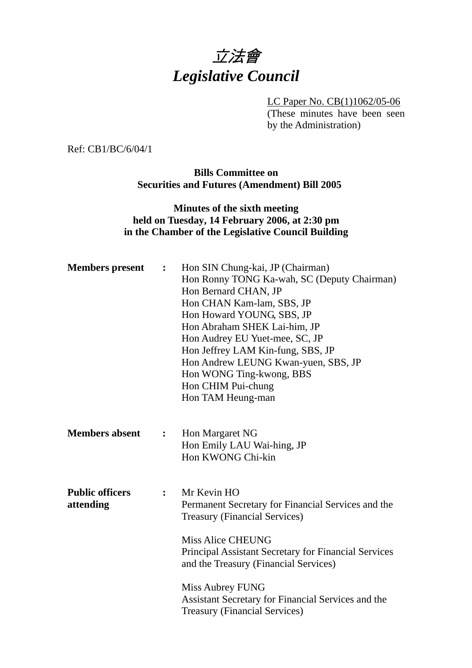

LC Paper No. CB(1)1062/05-06 (These minutes have been seen by the Administration)

Ref: CB1/BC/6/04/1

**Bills Committee on Securities and Futures (Amendment) Bill 2005** 

# **Minutes of the sixth meeting held on Tuesday, 14 February 2006, at 2:30 pm in the Chamber of the Legislative Council Building**

| <b>Members</b> present              | :              | Hon SIN Chung-kai, JP (Chairman)<br>Hon Ronny TONG Ka-wah, SC (Deputy Chairman)<br>Hon Bernard CHAN, JP<br>Hon CHAN Kam-lam, SBS, JP<br>Hon Howard YOUNG, SBS, JP<br>Hon Abraham SHEK Lai-him, JP<br>Hon Audrey EU Yuet-mee, SC, JP<br>Hon Jeffrey LAM Kin-fung, SBS, JP<br>Hon Andrew LEUNG Kwan-yuen, SBS, JP<br>Hon WONG Ting-kwong, BBS<br>Hon CHIM Pui-chung<br>Hon TAM Heung-man |
|-------------------------------------|----------------|----------------------------------------------------------------------------------------------------------------------------------------------------------------------------------------------------------------------------------------------------------------------------------------------------------------------------------------------------------------------------------------|
| <b>Members absent</b>               | $\ddot{\cdot}$ | Hon Margaret NG<br>Hon Emily LAU Wai-hing, JP<br>Hon KWONG Chi-kin                                                                                                                                                                                                                                                                                                                     |
| <b>Public officers</b><br>attending | $\ddot{\cdot}$ | Mr Kevin HO<br>Permanent Secretary for Financial Services and the<br><b>Treasury (Financial Services)</b><br><b>Miss Alice CHEUNG</b><br><b>Principal Assistant Secretary for Financial Services</b><br>and the Treasury (Financial Services)<br>Miss Aubrey FUNG                                                                                                                      |
|                                     |                | Assistant Secretary for Financial Services and the<br><b>Treasury (Financial Services)</b>                                                                                                                                                                                                                                                                                             |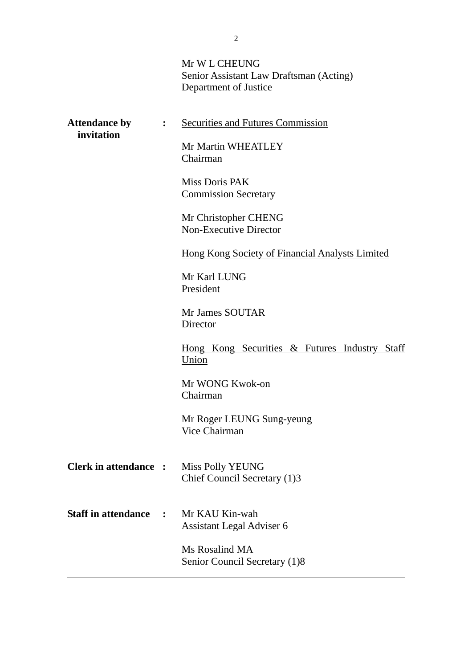# Mr W L CHEUNG Senior Assistant Law Draftsman (Acting) Department of Justice

| <b>Attendance by</b><br>invitation |                | <b>Securities and Futures Commission</b>                |
|------------------------------------|----------------|---------------------------------------------------------|
|                                    |                | Mr Martin WHEATLEY<br>Chairman                          |
|                                    |                | Miss Doris PAK<br><b>Commission Secretary</b>           |
|                                    |                | Mr Christopher CHENG<br><b>Non-Executive Director</b>   |
|                                    |                | <b>Hong Kong Society of Financial Analysts Limited</b>  |
|                                    |                | Mr Karl LUNG<br>President                               |
|                                    |                | Mr James SOUTAR<br>Director                             |
|                                    |                | Hong Kong Securities & Futures Industry Staff<br>Union  |
|                                    |                | Mr WONG Kwok-on<br>Chairman                             |
|                                    |                | Mr Roger LEUNG Sung-yeung<br>Vice Chairman              |
| <b>Clerk in attendance</b>         |                | <b>Miss Polly YEUNG</b><br>Chief Council Secretary (1)3 |
| <b>Staff in attendance</b>         | $\ddot{\cdot}$ | Mr KAU Kin-wah<br>Assistant Legal Adviser 6             |
|                                    |                | Ms Rosalind MA<br>Senior Council Secretary (1)8         |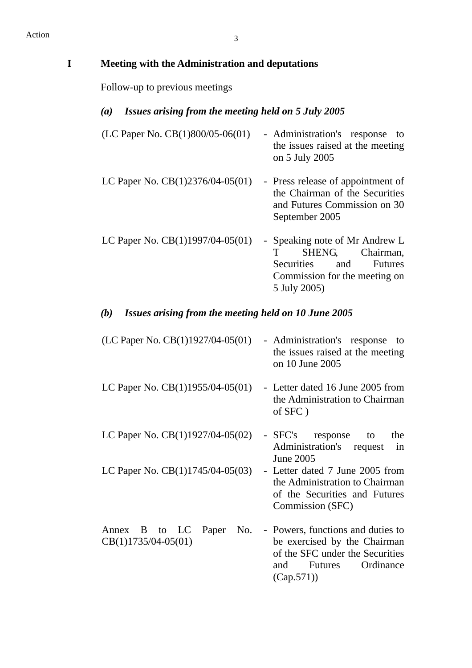| Meeting with the Administration and deputations             |                                                                                                                                                         |  |  |  |  |
|-------------------------------------------------------------|---------------------------------------------------------------------------------------------------------------------------------------------------------|--|--|--|--|
| Follow-up to previous meetings                              |                                                                                                                                                         |  |  |  |  |
| Issues arising from the meeting held on 5 July 2005<br>(a)  |                                                                                                                                                         |  |  |  |  |
| (LC Paper No. CB(1)800/05-06(01)                            | - Administration's response<br>to<br>the issues raised at the meeting<br>on 5 July 2005                                                                 |  |  |  |  |
| LC Paper No. $CB(1)2376/04-05(01)$                          | - Press release of appointment of<br>the Chairman of the Securities<br>and Futures Commission on 30<br>September 2005                                   |  |  |  |  |
| LC Paper No. CB(1)1997/04-05(01)                            | - Speaking note of Mr Andrew L<br>SHENG,<br>Chairman,<br>T<br>Securities<br>and<br>Futures<br>Commission for the meeting on<br>5 July 2005)             |  |  |  |  |
| Issues arising from the meeting held on 10 June 2005<br>(b) |                                                                                                                                                         |  |  |  |  |
| (LC Paper No. $CB(1)1927/04-05(01)$                         | - Administration's response<br>to<br>the issues raised at the meeting<br>on 10 June 2005                                                                |  |  |  |  |
| LC Paper No. $CB(1)1955/04-05(01)$                          | - Letter dated 16 June 2005 from<br>the Administration to Chairman<br>of SFC)                                                                           |  |  |  |  |
| LC Paper No. $CB(1)1927/04-05(02)$                          | - SFC's response<br>the<br>to<br>Administration's<br>request<br>in<br><b>June 2005</b>                                                                  |  |  |  |  |
| LC Paper No. $CB(1)1745/04-05(03)$                          | - Letter dated 7 June 2005 from<br>the Administration to Chairman<br>of the Securities and Futures<br>Commission (SFC)                                  |  |  |  |  |
| B to LC<br>Paper<br>No.<br>Annex<br>$CB(1)1735/04-05(01)$   | - Powers, functions and duties to<br>be exercised by the Chairman<br>of the SFC under the Securities<br>Ordinance<br>and<br><b>Futures</b><br>(Cap.571) |  |  |  |  |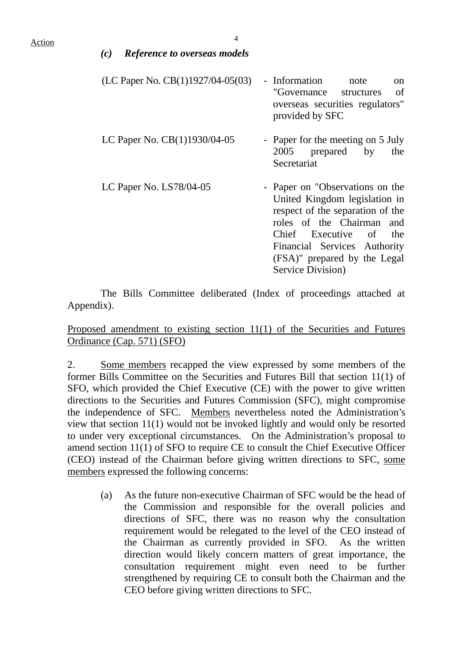| <b>Reference to overseas models</b><br>(c) |                                                                                                                                                                                                                                                     |
|--------------------------------------------|-----------------------------------------------------------------------------------------------------------------------------------------------------------------------------------------------------------------------------------------------------|
| (LC Paper No. $CB(1)1927/04-05(03)$        | - Information note<br><sub>on</sub><br>of<br>"Governance structures"<br>overseas securities regulators"<br>provided by SFC                                                                                                                          |
| LC Paper No. CB(1)1930/04-05               | - Paper for the meeting on 5 July<br>2005 prepared by<br>the<br>Secretariat                                                                                                                                                                         |
| LC Paper No. LS78/04-05                    | - Paper on "Observations on the<br>United Kingdom legislation in<br>respect of the separation of the<br>roles of the Chairman and<br>Chief Executive of<br>the<br>Financial Services Authority<br>(FSA)" prepared by the Legal<br>Service Division) |

1. The Bills Committee deliberated (Index of proceedings attached at Appendix).

## Proposed amendment to existing section 11(1) of the Securities and Futures Ordinance (Cap. 571) (SFO)

2. Some members recapped the view expressed by some members of the former Bills Committee on the Securities and Futures Bill that section 11(1) of SFO, which provided the Chief Executive (CE) with the power to give written directions to the Securities and Futures Commission (SFC), might compromise the independence of SFC. Members nevertheless noted the Administration's view that section 11(1) would not be invoked lightly and would only be resorted to under very exceptional circumstances. On the Administration's proposal to amend section 11(1) of SFO to require CE to consult the Chief Executive Officer (CEO) instead of the Chairman before giving written directions to SFC, some members expressed the following concerns:

(a) As the future non-executive Chairman of SFC would be the head of the Commission and responsible for the overall policies and directions of SFC, there was no reason why the consultation requirement would be relegated to the level of the CEO instead of the Chairman as currently provided in SFO. As the written direction would likely concern matters of great importance, the consultation requirement might even need to be further strengthened by requiring CE to consult both the Chairman and the CEO before giving written directions to SFC.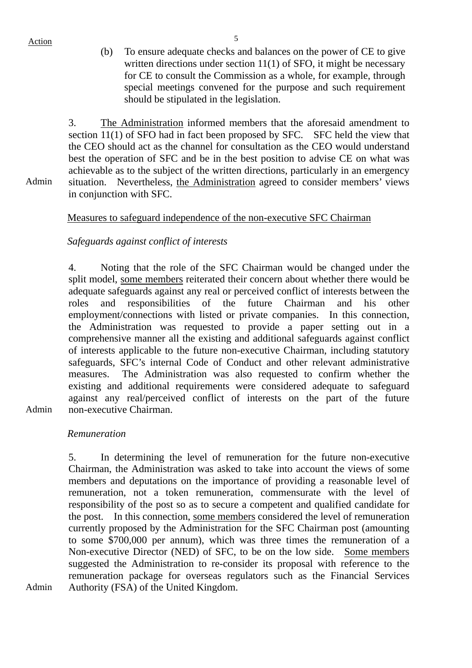Action 5

(b) To ensure adequate checks and balances on the power of CE to give written directions under section 11(1) of SFO, it might be necessary for CE to consult the Commission as a whole, for example, through special meetings convened for the purpose and such requirement should be stipulated in the legislation.

3. The Administration informed members that the aforesaid amendment to section 11(1) of SFO had in fact been proposed by SFC. SFC held the view that the CEO should act as the channel for consultation as the CEO would understand best the operation of SFC and be in the best position to advise CE on what was achievable as to the subject of the written directions, particularly in an emergency situation. Nevertheless, the Administration agreed to consider members' views in conjunction with SFC.

Admin

Admin

Admin

# Measures to safeguard independence of the non-executive SFC Chairman

# *Safeguards against conflict of interests*

4. Noting that the role of the SFC Chairman would be changed under the split model, some members reiterated their concern about whether there would be adequate safeguards against any real or perceived conflict of interests between the roles and responsibilities of the future Chairman and his other employment/connections with listed or private companies. In this connection, the Administration was requested to provide a paper setting out in a comprehensive manner all the existing and additional safeguards against conflict of interests applicable to the future non-executive Chairman, including statutory safeguards, SFC's internal Code of Conduct and other relevant administrative measures. The Administration was also requested to confirm whether the existing and additional requirements were considered adequate to safeguard against any real/perceived conflict of interests on the part of the future non-executive Chairman.

*Remuneration* 

5. In determining the level of remuneration for the future non-executive Chairman, the Administration was asked to take into account the views of some members and deputations on the importance of providing a reasonable level of remuneration, not a token remuneration, commensurate with the level of responsibility of the post so as to secure a competent and qualified candidate for the post. In this connection, some members considered the level of remuneration currently proposed by the Administration for the SFC Chairman post (amounting to some \$700,000 per annum), which was three times the remuneration of a Non-executive Director (NED) of SFC, to be on the low side. Some members suggested the Administration to re-consider its proposal with reference to the remuneration package for overseas regulators such as the Financial Services Authority (FSA) of the United Kingdom.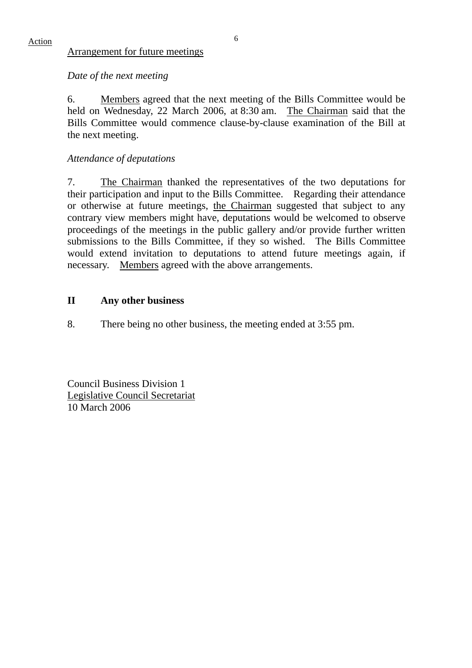Action 6

#### Arrangement for future meetings

### *Date of the next meeting*

6. Members agreed that the next meeting of the Bills Committee would be held on Wednesday, 22 March 2006, at 8:30 am. The Chairman said that the Bills Committee would commence clause-by-clause examination of the Bill at the next meeting.

## *Attendance of deputations*

7. The Chairman thanked the representatives of the two deputations for their participation and input to the Bills Committee. Regarding their attendance or otherwise at future meetings, the Chairman suggested that subject to any contrary view members might have, deputations would be welcomed to observe proceedings of the meetings in the public gallery and/or provide further written submissions to the Bills Committee, if they so wished. The Bills Committee would extend invitation to deputations to attend future meetings again, if necessary. Members agreed with the above arrangements.

### **II Any other business**

8. There being no other business, the meeting ended at 3:55 pm.

Council Business Division 1 Legislative Council Secretariat 10 March 2006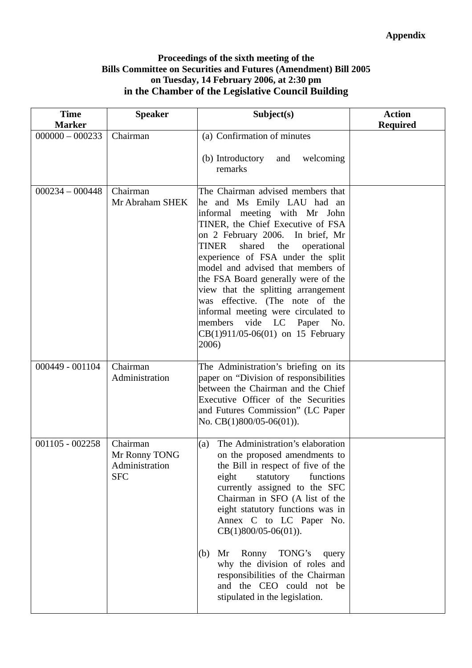## **Proceedings of the sixth meeting of the Bills Committee on Securities and Futures (Amendment) Bill 2005 on Tuesday, 14 February 2006, at 2:30 pm in the Chamber of the Legislative Council Building**

| <b>Time</b><br><b>Marker</b> | <b>Speaker</b>                                            | Subject(s)                                                                                                                                                                                                                                                                                                                                                                                                                                                                                                                              | <b>Action</b><br><b>Required</b> |
|------------------------------|-----------------------------------------------------------|-----------------------------------------------------------------------------------------------------------------------------------------------------------------------------------------------------------------------------------------------------------------------------------------------------------------------------------------------------------------------------------------------------------------------------------------------------------------------------------------------------------------------------------------|----------------------------------|
| $000000 - 000233$            | Chairman                                                  | (a) Confirmation of minutes                                                                                                                                                                                                                                                                                                                                                                                                                                                                                                             |                                  |
|                              |                                                           | (b) Introductory and<br>welcoming<br>remarks                                                                                                                                                                                                                                                                                                                                                                                                                                                                                            |                                  |
| $000234 - 000448$            | Chairman<br>Mr Abraham SHEK                               | The Chairman advised members that<br>he and Ms Emily LAU had an<br>informal meeting with Mr John<br>TINER, the Chief Executive of FSA<br>on 2 February 2006. In brief, Mr<br>shared<br>the<br>TINER<br>operational<br>experience of FSA under the split<br>model and advised that members of<br>the FSA Board generally were of the<br>view that the splitting arrangement<br>was effective. (The note of the<br>informal meeting were circulated to<br>members<br>vide LC<br>Paper No.<br>$CB(1)911/05-06(01)$ on 15 February<br>2006) |                                  |
| 000449 - 001104              | Chairman<br>Administration                                | The Administration's briefing on its<br>paper on "Division of responsibilities<br>between the Chairman and the Chief<br>Executive Officer of the Securities<br>and Futures Commission" (LC Paper<br>No. $CB(1)800/05-06(01)$ ).                                                                                                                                                                                                                                                                                                         |                                  |
| $001105 - 002258$            | Chairman<br>Mr Ronny TONG<br>Administration<br><b>SFC</b> | The Administration's elaboration<br>(a)<br>on the proposed amendments to<br>the Bill in respect of five of the<br>eight<br>statutory<br>functions<br>currently assigned to the SFC<br>Chairman in SFO (A list of the<br>eight statutory functions was in<br>Annex C to LC Paper No.<br>$CB(1)800/05-06(01)).$<br>Mr Ronny<br>TONG's<br>(b)<br>query<br>why the division of roles and<br>responsibilities of the Chairman<br>and the CEO could not be<br>stipulated in the legislation.                                                  |                                  |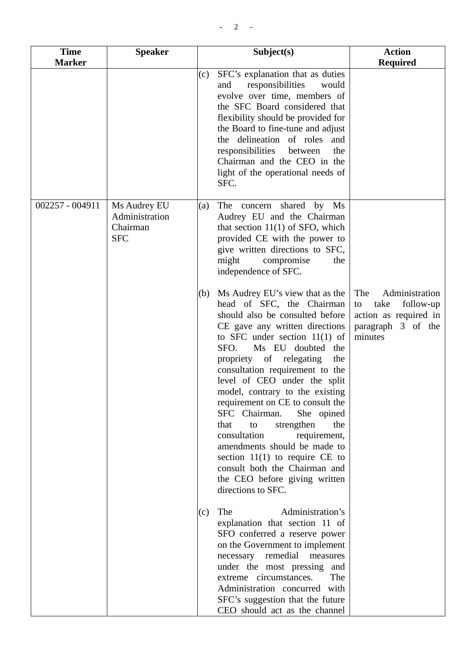| <b>Time</b><br><b>Marker</b> | <b>Speaker</b>                                           | Subject(s)                                                                                                                                                                                                                                                                                                                                                                                                                                                                                                                                                                                                                                            | <b>Action</b><br><b>Required</b>                                                                           |
|------------------------------|----------------------------------------------------------|-------------------------------------------------------------------------------------------------------------------------------------------------------------------------------------------------------------------------------------------------------------------------------------------------------------------------------------------------------------------------------------------------------------------------------------------------------------------------------------------------------------------------------------------------------------------------------------------------------------------------------------------------------|------------------------------------------------------------------------------------------------------------|
|                              |                                                          | SFC's explanation that as duties<br>(c)<br>responsibilities<br>and<br>would<br>evolve over time, members of<br>the SFC Board considered that<br>flexibility should be provided for<br>the Board to fine-tune and adjust<br>the delineation of roles and<br>responsibilities<br>between<br>the<br>Chairman and the CEO in the<br>light of the operational needs of<br>SFC.                                                                                                                                                                                                                                                                             |                                                                                                            |
| 002257 - 004911              | Ms Audrey EU<br>Administration<br>Chairman<br><b>SFC</b> | The concern shared<br>by Ms<br>(a)<br>Audrey EU and the Chairman<br>that section $11(1)$ of SFO, which<br>provided CE with the power to<br>give written directions to SFC,<br>might<br>compromise<br>the<br>independence of SFC.                                                                                                                                                                                                                                                                                                                                                                                                                      |                                                                                                            |
|                              |                                                          | Ms Audrey EU's view that as the<br>(b)<br>head of SFC, the Chairman<br>should also be consulted before<br>CE gave any written directions<br>to SFC under section $11(1)$ of<br>SFO.<br>Ms EU doubted<br>the<br>propriety of relegating<br>the<br>consultation requirement to the<br>level of CEO under the split<br>model, contrary to the existing<br>requirement on CE to consult the<br>SFC Chairman.<br>She opined<br>strengthen<br>that<br>the<br>to<br>consultation<br>requirement,<br>amendments should be made to<br>section $11(1)$ to require CE to<br>consult both the Chairman and<br>the CEO before giving written<br>directions to SFC. | Administration<br>The<br>take<br>follow-up<br>to<br>action as required in<br>paragraph 3 of the<br>minutes |
|                              |                                                          | The<br>Administration's<br>(c)<br>explanation that section 11 of<br>SFO conferred a reserve power<br>on the Government to implement<br>necessary remedial measures<br>under the most pressing and<br>extreme circumstances.<br>The<br>Administration concurred with<br>SFC's suggestion that the future<br>CEO should act as the channel                                                                                                                                                                                                                                                                                                              |                                                                                                            |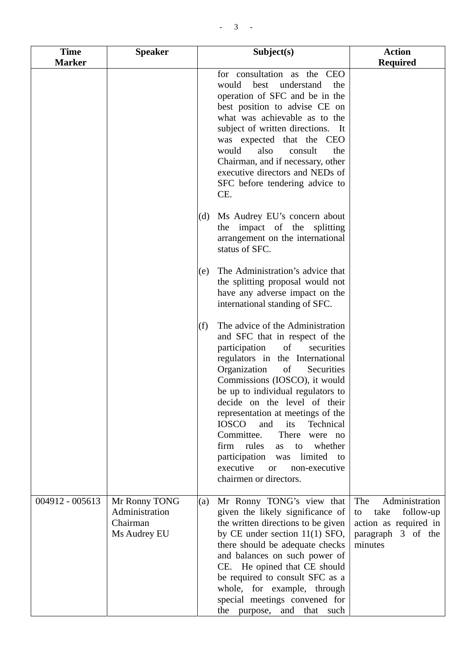| <b>Time</b><br><b>Marker</b> | <b>Speaker</b>                                              | Subject(s)                                                                                                                                                                                                                                                                                                                                                                                                                                                                                                                                                          | <b>Action</b><br><b>Required</b>                                                                           |
|------------------------------|-------------------------------------------------------------|---------------------------------------------------------------------------------------------------------------------------------------------------------------------------------------------------------------------------------------------------------------------------------------------------------------------------------------------------------------------------------------------------------------------------------------------------------------------------------------------------------------------------------------------------------------------|------------------------------------------------------------------------------------------------------------|
|                              |                                                             | for consultation as the CEO<br>best<br>would<br>understand<br>the<br>operation of SFC and be in the<br>best position to advise CE on<br>what was achievable as to the<br>subject of written directions. It<br>was expected that the CEO<br>would<br>also<br>consult<br>the<br>Chairman, and if necessary, other<br>executive directors and NEDs of<br>SFC before tendering advice to<br>CE.                                                                                                                                                                         |                                                                                                            |
|                              |                                                             | Ms Audrey EU's concern about<br>(d)<br>the impact of the splitting<br>arrangement on the international<br>status of SFC.                                                                                                                                                                                                                                                                                                                                                                                                                                            |                                                                                                            |
|                              |                                                             | The Administration's advice that<br>(e)<br>the splitting proposal would not<br>have any adverse impact on the<br>international standing of SFC.                                                                                                                                                                                                                                                                                                                                                                                                                     |                                                                                                            |
|                              |                                                             | The advice of the Administration<br>(f)<br>and SFC that in respect of the<br>of<br>participation<br>securities<br>regulators in the International<br>Organization<br>of<br>Securities<br>Commissions (IOSCO), it would<br>be up to individual regulators to<br>decide on the level of their<br>representation at meetings of the<br><b>IOSCO</b><br>and<br>its<br>Technical<br>Committee.<br>There<br>were no<br>rules<br>firm<br>whether<br>to<br>as<br>participation<br>limited<br>to<br>was<br>executive<br>non-executive<br><b>or</b><br>chairmen or directors. |                                                                                                            |
| 004912 - 005613              | Mr Ronny TONG<br>Administration<br>Chairman<br>Ms Audrey EU | Mr Ronny TONG's view that<br>(a)<br>given the likely significance of<br>the written directions to be given<br>by CE under section $11(1)$ SFO,<br>there should be adequate checks<br>and balances on such power of<br>CE. He opined that CE should<br>be required to consult SFC as a<br>whole, for example, through<br>special meetings convened for<br>the purpose, and that such                                                                                                                                                                                 | Administration<br>The<br>follow-up<br>take<br>to<br>action as required in<br>paragraph 3 of the<br>minutes |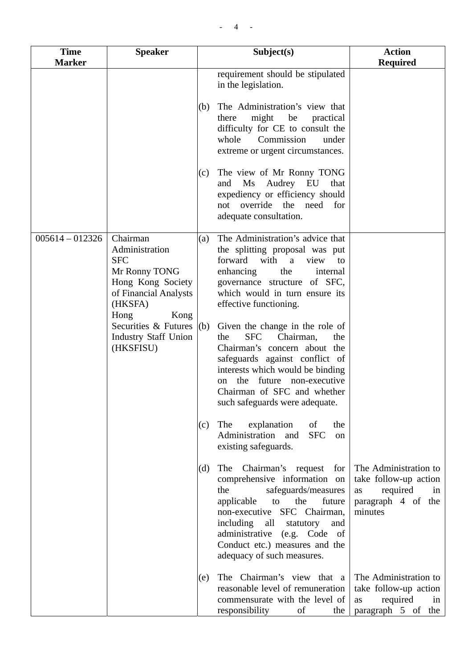| <b>Time</b><br><b>Marker</b> | <b>Speaker</b>                                                                                                                                                                                         |                          | Subject(s)                                                                                                                                                                                                                                                                                                                                                                                                                                                                                                                                                                                                                                                                                      | <b>Action</b><br><b>Required</b>                                                                                                                      |
|------------------------------|--------------------------------------------------------------------------------------------------------------------------------------------------------------------------------------------------------|--------------------------|-------------------------------------------------------------------------------------------------------------------------------------------------------------------------------------------------------------------------------------------------------------------------------------------------------------------------------------------------------------------------------------------------------------------------------------------------------------------------------------------------------------------------------------------------------------------------------------------------------------------------------------------------------------------------------------------------|-------------------------------------------------------------------------------------------------------------------------------------------------------|
|                              |                                                                                                                                                                                                        |                          | requirement should be stipulated<br>in the legislation.                                                                                                                                                                                                                                                                                                                                                                                                                                                                                                                                                                                                                                         |                                                                                                                                                       |
|                              |                                                                                                                                                                                                        | (b)                      | The Administration's view that<br>might<br>be<br>there<br>practical<br>difficulty for CE to consult the<br>Commission<br>whole<br>under<br>extreme or urgent circumstances.                                                                                                                                                                                                                                                                                                                                                                                                                                                                                                                     |                                                                                                                                                       |
|                              |                                                                                                                                                                                                        | (c)                      | The view of Mr Ronny TONG<br>Audrey EU<br>$\overline{\text{Ms}}$<br>and<br>that<br>expediency or efficiency should<br>override<br>the<br>need<br>for<br>not<br>adequate consultation.                                                                                                                                                                                                                                                                                                                                                                                                                                                                                                           |                                                                                                                                                       |
| $005614 - 012326$            | Chairman<br>Administration<br><b>SFC</b><br>Mr Ronny TONG<br>Hong Kong Society<br>of Financial Analysts<br>(HKSFA)<br>Hong<br>Kong<br>Securities & Futures<br><b>Industry Staff Union</b><br>(HKSFISU) | (a)<br>(b)<br>(c)<br>(d) | The Administration's advice that<br>the splitting proposal was put<br>forward<br>with<br>a<br>view<br>to<br>the<br>enhancing<br>internal<br>governance structure of SFC,<br>which would in turn ensure its<br>effective functioning.<br>Given the change in the role of<br><b>SFC</b><br>Chairman,<br>the<br>the<br>Chairman's concern about the<br>safeguards against conflict of<br>interests which would be binding<br>the future non-executive<br>on<br>Chairman of SFC and whether<br>such safeguards were adequate.<br>explanation<br>The<br>of<br>the<br><b>SFC</b><br>Administration and<br>on<br>existing safeguards.<br>Chairman's request for<br>The<br>comprehensive information on | The Administration to<br>take follow-up action                                                                                                        |
|                              |                                                                                                                                                                                                        | (e)                      | the<br>safeguards/measures<br>future<br>applicable<br>to<br>the<br>non-executive SFC Chairman,<br>including all<br>statutory<br>and<br>administrative (e.g. Code of<br>Conduct etc.) measures and the<br>adequacy of such measures.<br>The Chairman's view that a<br>reasonable level of remuneration<br>commensurate with the level of<br>responsibility<br>of<br>the                                                                                                                                                                                                                                                                                                                          | required<br>as<br>in<br>paragraph 4 of the<br>minutes<br>The Administration to<br>take follow-up action<br>required<br>as<br>in<br>paragraph 5 of the |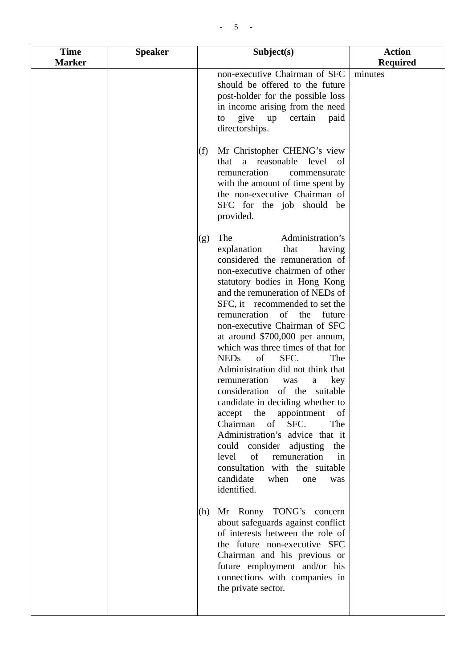| <b>Time</b>   | <b>Speaker</b> | Subject(s)                                                                                                                                                                                                                                                                                                                                                                                                                                                                                                                                                                                                                                                                                                                                                                                                                                                                                                                                                                                                         | <b>Action</b>   |
|---------------|----------------|--------------------------------------------------------------------------------------------------------------------------------------------------------------------------------------------------------------------------------------------------------------------------------------------------------------------------------------------------------------------------------------------------------------------------------------------------------------------------------------------------------------------------------------------------------------------------------------------------------------------------------------------------------------------------------------------------------------------------------------------------------------------------------------------------------------------------------------------------------------------------------------------------------------------------------------------------------------------------------------------------------------------|-----------------|
| <b>Marker</b> |                |                                                                                                                                                                                                                                                                                                                                                                                                                                                                                                                                                                                                                                                                                                                                                                                                                                                                                                                                                                                                                    | <b>Required</b> |
|               |                | non-executive Chairman of SFC<br>should be offered to the future<br>post-holder for the possible loss<br>in income arising from the need<br>give<br>up<br>certain<br>paid<br>to<br>directorships.<br>Mr Christopher CHENG's view<br>(f)                                                                                                                                                                                                                                                                                                                                                                                                                                                                                                                                                                                                                                                                                                                                                                            | minutes         |
|               |                | that a reasonable level of<br>remuneration<br>commensurate<br>with the amount of time spent by<br>the non-executive Chairman of<br>SFC for the job should be<br>provided.                                                                                                                                                                                                                                                                                                                                                                                                                                                                                                                                                                                                                                                                                                                                                                                                                                          |                 |
|               |                | Administration's<br>The<br>(g)<br>explanation<br>that<br>having<br>considered the remuneration of<br>non-executive chairmen of other<br>statutory bodies in Hong Kong<br>and the remuneration of NEDs of<br>SFC, it recommended to set the<br>remuneration of the<br>future<br>non-executive Chairman of SFC<br>at around \$700,000 per annum,<br>which was three times of that for<br>SFC.<br><b>NEDs</b><br>of<br>The<br>Administration did not think that<br>remuneration<br>key<br>was<br>a<br>consideration of the suitable<br>candidate in deciding whether to<br>accept the<br>appointment<br>of<br>of<br>SFC.<br>Chairman<br>The<br>Administration's advice that it<br>could consider adjusting<br>the<br>level<br>of<br>remuneration<br>in<br>consultation with the suitable<br>candidate<br>when<br>one<br>was<br>identified.<br>Mr Ronny TONG's concern<br>(h)<br>about safeguards against conflict<br>of interests between the role of<br>the future non-executive SFC<br>Chairman and his previous or |                 |
|               |                | future employment and/or his<br>connections with companies in<br>the private sector.                                                                                                                                                                                                                                                                                                                                                                                                                                                                                                                                                                                                                                                                                                                                                                                                                                                                                                                               |                 |